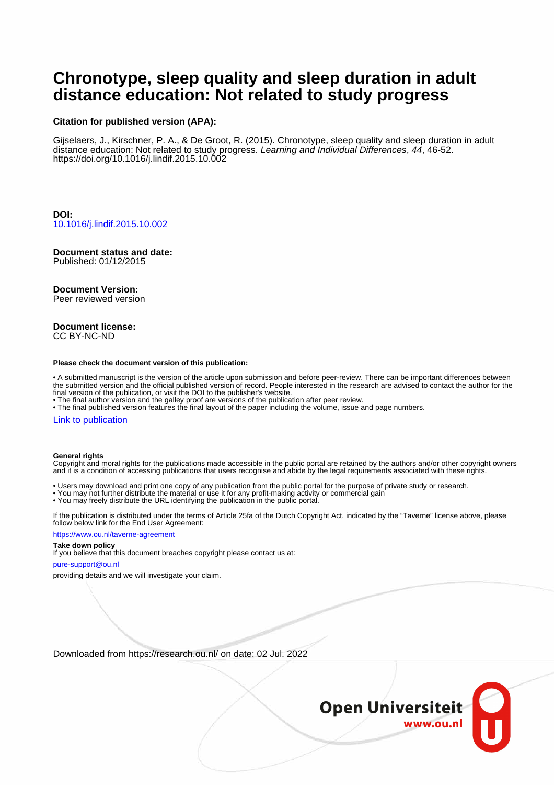## **Chronotype, sleep quality and sleep duration in adult distance education: Not related to study progress**

#### **Citation for published version (APA):**

Gijselaers, J., Kirschner, P. A., & De Groot, R. (2015). Chronotype, sleep quality and sleep duration in adult distance education: Not related to study progress. Learning and Individual Differences, 44, 46-52. <https://doi.org/10.1016/j.lindif.2015.10.002>

**DOI:** [10.1016/j.lindif.2015.10.002](https://doi.org/10.1016/j.lindif.2015.10.002)

## **Document status and date:**

Published: 01/12/2015

#### **Document Version:**

Peer reviewed version

#### **Document license:** CC BY-NC-ND

#### **Please check the document version of this publication:**

• A submitted manuscript is the version of the article upon submission and before peer-review. There can be important differences between the submitted version and the official published version of record. People interested in the research are advised to contact the author for the final version of the publication, or visit the DOI to the publisher's website.

• The final author version and the galley proof are versions of the publication after peer review.

• The final published version features the final layout of the paper including the volume, issue and page numbers.

#### [Link to publication](https://research.ou.nl/en/publications/ff020b0e-5a2d-4521-9091-5fb67fd8d4f0)

#### **General rights**

Copyright and moral rights for the publications made accessible in the public portal are retained by the authors and/or other copyright owners and it is a condition of accessing publications that users recognise and abide by the legal requirements associated with these rights.

- Users may download and print one copy of any publication from the public portal for the purpose of private study or research.
- You may not further distribute the material or use it for any profit-making activity or commercial gain
- You may freely distribute the URL identifying the publication in the public portal.

If the publication is distributed under the terms of Article 25fa of the Dutch Copyright Act, indicated by the "Taverne" license above, please follow below link for the End User Agreement:

#### https://www.ou.nl/taverne-agreement

## **Take down policy**

If you believe that this document breaches copyright please contact us at:

#### pure-support@ou.nl

providing details and we will investigate your claim.

Downloaded from https://research.ou.nl/ on date: 02 Jul. 2022

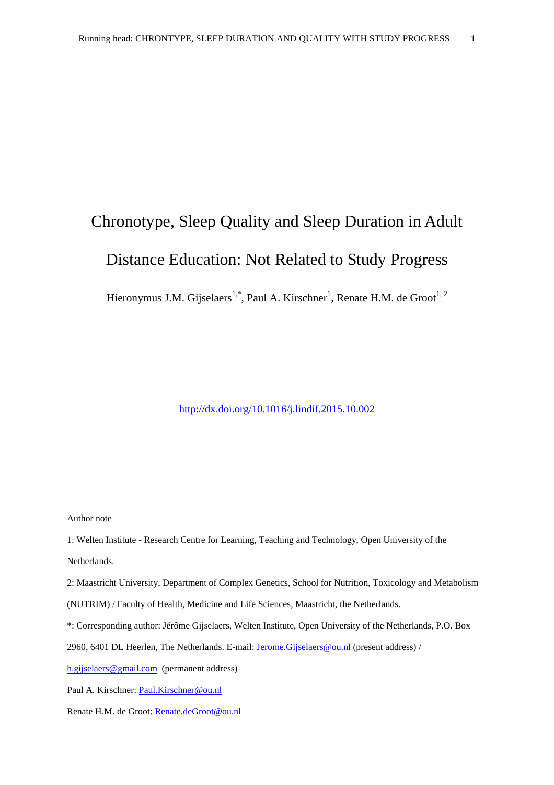# Chronotype, Sleep Quality and Sleep Duration in Adult Distance Education: Not Related to Study Progress

Hieronymus J.M. Gijselaers<sup>1,\*</sup>, Paul A. Kirschner<sup>1</sup>, Renate H.M. de Groot<sup>1, 2</sup>

<http://dx.doi.org/10.1016/j.lindif.2015.10.002>

Author note

1: Welten Institute - Research Centre for Learning, Teaching and Technology, Open University of the

Netherlands.

2: Maastricht University, Department of Complex Genetics, School for Nutrition, Toxicology and Metabolism (NUTRIM) / Faculty of Health, Medicine and Life Sciences, Maastricht, the Netherlands.

\*: Corresponding author: Jérôme Gijselaers, Welten Institute, Open University of the Netherlands, P.O. Box

2960, 6401 DL Heerlen, The Netherlands. E-mail: *Jerome.Gijselaers@ou.nl* (present address) /

[h.gijselaers@gmail.com](mailto:h.gijselaers@gmail.com) (permanent address)

Paul A. Kirschner: [Paul.Kirschner@ou.nl](mailto:Paul.Kirschner@ou.nl)

Renate H.M. de Groot: [Renate.deGroot@ou.nl](mailto:Renate.deGroot@ou.nl)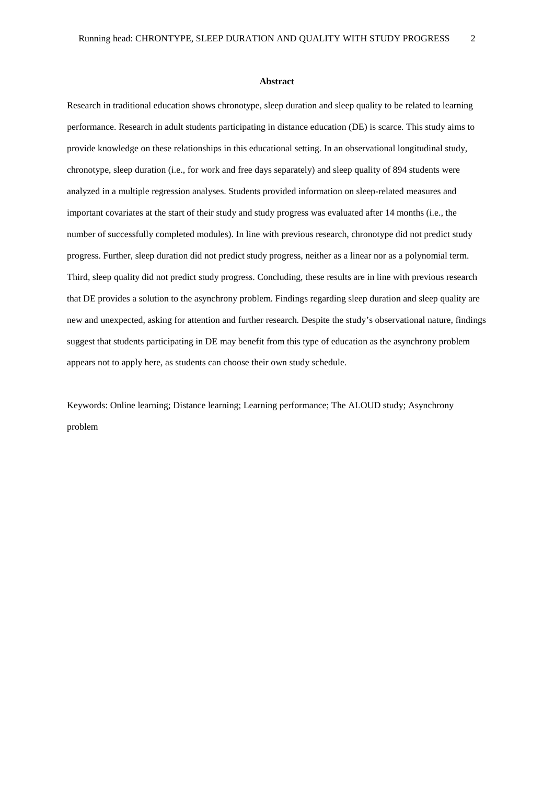#### **Abstract**

Research in traditional education shows chronotype, sleep duration and sleep quality to be related to learning performance. Research in adult students participating in distance education (DE) is scarce. This study aims to provide knowledge on these relationships in this educational setting. In an observational longitudinal study, chronotype, sleep duration (i.e., for work and free days separately) and sleep quality of 894 students were analyzed in a multiple regression analyses. Students provided information on sleep-related measures and important covariates at the start of their study and study progress was evaluated after 14 months (i.e., the number of successfully completed modules). In line with previous research, chronotype did not predict study progress. Further, sleep duration did not predict study progress, neither as a linear nor as a polynomial term. Third, sleep quality did not predict study progress. Concluding, these results are in line with previous research that DE provides a solution to the asynchrony problem. Findings regarding sleep duration and sleep quality are new and unexpected, asking for attention and further research. Despite the study's observational nature, findings suggest that students participating in DE may benefit from this type of education as the asynchrony problem appears not to apply here, as students can choose their own study schedule.

Keywords: Online learning; Distance learning; Learning performance; The ALOUD study; Asynchrony problem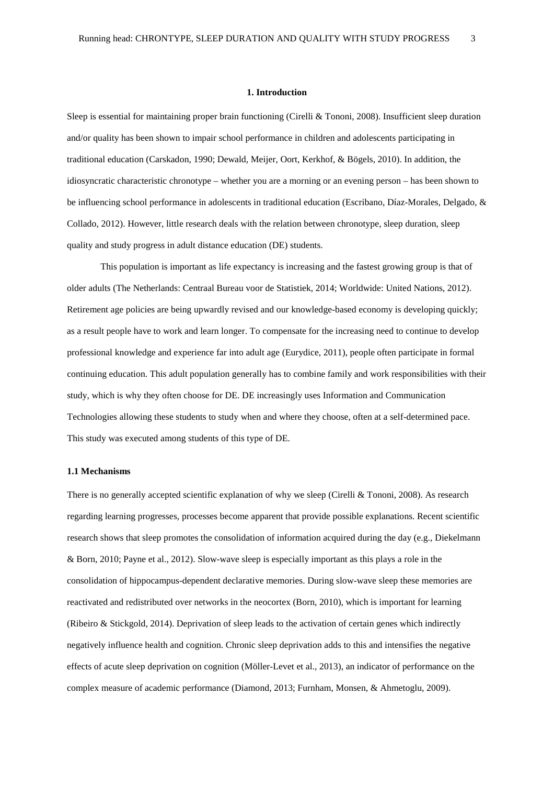#### **1. Introduction**

Sleep is essential for maintaining proper brain functioning (Cirelli & Tononi, 2008). Insufficient sleep duration and/or quality has been shown to impair school performance in children and adolescents participating in traditional education (Carskadon, 1990; Dewald, Meijer, Oort, Kerkhof, & Bögels, 2010). In addition, the idiosyncratic characteristic chronotype – whether you are a morning or an evening person – has been shown to be influencing school performance in adolescents in traditional education (Escribano, Díaz-Morales, Delgado, & Collado, 2012). However, little research deals with the relation between chronotype, sleep duration, sleep quality and study progress in adult distance education (DE) students.

This population is important as life expectancy is increasing and the fastest growing group is that of older adults (The Netherlands: Centraal Bureau voor de Statistiek, 2014; Worldwide: United Nations, 2012). Retirement age policies are being upwardly revised and our knowledge-based economy is developing quickly; as a result people have to work and learn longer. To compensate for the increasing need to continue to develop professional knowledge and experience far into adult age (Eurydice, 2011), people often participate in formal continuing education. This adult population generally has to combine family and work responsibilities with their study, which is why they often choose for DE. DE increasingly uses Information and Communication Technologies allowing these students to study when and where they choose, often at a self-determined pace. This study was executed among students of this type of DE.

#### **1.1 Mechanisms**

There is no generally accepted scientific explanation of why we sleep (Cirelli & Tononi, 2008). As research regarding learning progresses, processes become apparent that provide possible explanations. Recent scientific research shows that sleep promotes the consolidation of information acquired during the day (e.g., Diekelmann & Born, 2010; Payne et al., 2012). Slow-wave sleep is especially important as this plays a role in the consolidation of hippocampus-dependent declarative memories. During slow-wave sleep these memories are reactivated and redistributed over networks in the neocortex (Born, 2010), which is important for learning (Ribeiro & Stickgold, 2014). Deprivation of sleep leads to the activation of certain genes which indirectly negatively influence health and cognition. Chronic sleep deprivation adds to this and intensifies the negative effects of acute sleep deprivation on cognition (Möller-Levet et al., 2013), an indicator of performance on the complex measure of academic performance (Diamond, 2013; Furnham, Monsen, & Ahmetoglu, 2009).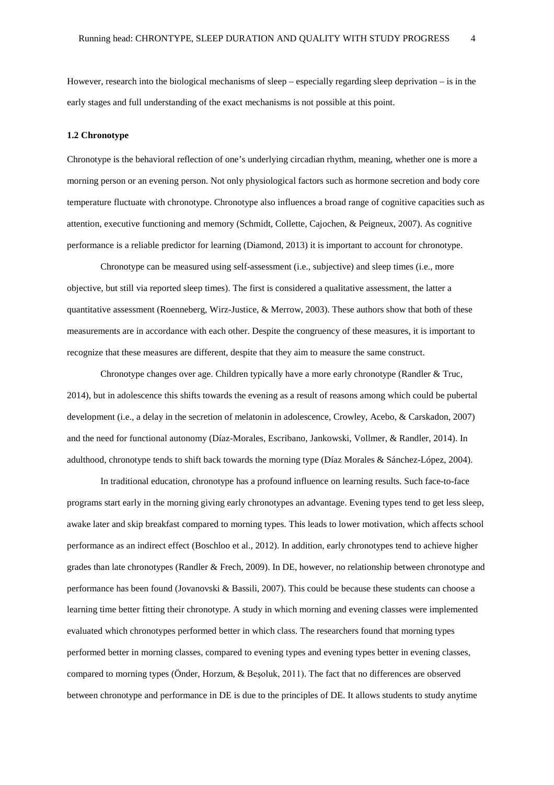However, research into the biological mechanisms of sleep – especially regarding sleep deprivation – is in the early stages and full understanding of the exact mechanisms is not possible at this point.

#### **1.2 Chronotype**

Chronotype is the behavioral reflection of one's underlying circadian rhythm, meaning, whether one is more a morning person or an evening person. Not only physiological factors such as hormone secretion and body core temperature fluctuate with chronotype. Chronotype also influences a broad range of cognitive capacities such as attention, executive functioning and memory (Schmidt, Collette, Cajochen, & Peigneux, 2007). As cognitive performance is a reliable predictor for learning (Diamond, 2013) it is important to account for chronotype.

Chronotype can be measured using self-assessment (i.e., subjective) and sleep times (i.e., more objective, but still via reported sleep times). The first is considered a qualitative assessment, the latter a quantitative assessment (Roenneberg, Wirz-Justice, & Merrow, 2003). These authors show that both of these measurements are in accordance with each other. Despite the congruency of these measures, it is important to recognize that these measures are different, despite that they aim to measure the same construct.

Chronotype changes over age. Children typically have a more early chronotype (Randler & Truc, 2014), but in adolescence this shifts towards the evening as a result of reasons among which could be pubertal development (i.e., a delay in the secretion of melatonin in adolescence, Crowley, Acebo, & Carskadon, 2007) and the need for functional autonomy (Díaz-Morales, Escribano, Jankowski, Vollmer, & Randler, 2014). In adulthood, chronotype tends to shift back towards the morning type (Díaz Morales & Sánchez-López, 2004).

In traditional education, chronotype has a profound influence on learning results. Such face-to-face programs start early in the morning giving early chronotypes an advantage. Evening types tend to get less sleep, awake later and skip breakfast compared to morning types. This leads to lower motivation, which affects school performance as an indirect effect (Boschloo et al., 2012). In addition, early chronotypes tend to achieve higher grades than late chronotypes (Randler & Frech, 2009). In DE, however, no relationship between chronotype and performance has been found (Jovanovski & Bassili, 2007). This could be because these students can choose a learning time better fitting their chronotype. A study in which morning and evening classes were implemented evaluated which chronotypes performed better in which class. The researchers found that morning types performed better in morning classes, compared to evening types and evening types better in evening classes, compared to morning types (Önder, Horzum, & Beşoluk, 2011). The fact that no differences are observed between chronotype and performance in DE is due to the principles of DE. It allows students to study anytime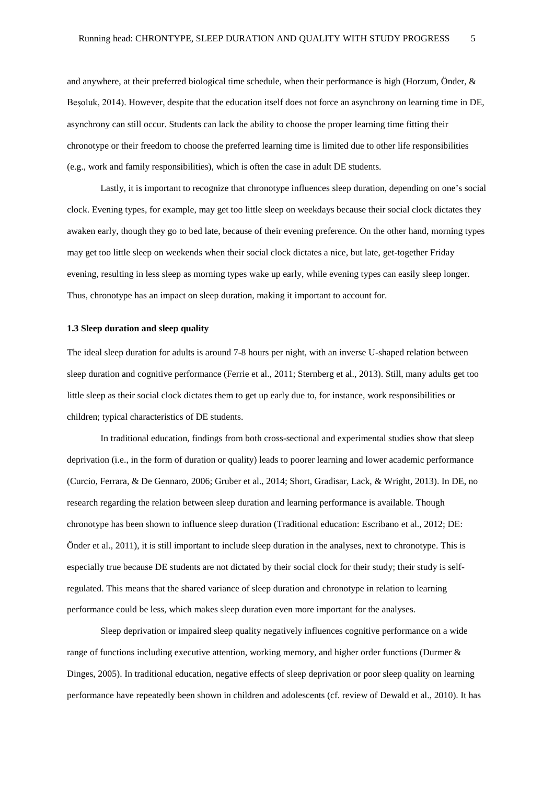and anywhere, at their preferred biological time schedule, when their performance is high (Horzum, Önder, & Beşoluk, 2014). However, despite that the education itself does not force an asynchrony on learning time in DE, asynchrony can still occur. Students can lack the ability to choose the proper learning time fitting their chronotype or their freedom to choose the preferred learning time is limited due to other life responsibilities (e.g., work and family responsibilities), which is often the case in adult DE students.

Lastly, it is important to recognize that chronotype influences sleep duration, depending on one's social clock. Evening types, for example, may get too little sleep on weekdays because their social clock dictates they awaken early, though they go to bed late, because of their evening preference. On the other hand, morning types may get too little sleep on weekends when their social clock dictates a nice, but late, get-together Friday evening, resulting in less sleep as morning types wake up early, while evening types can easily sleep longer. Thus, chronotype has an impact on sleep duration, making it important to account for.

#### **1.3 Sleep duration and sleep quality**

The ideal sleep duration for adults is around 7-8 hours per night, with an inverse U-shaped relation between sleep duration and cognitive performance (Ferrie et al., 2011; Sternberg et al., 2013). Still, many adults get too little sleep as their social clock dictates them to get up early due to, for instance, work responsibilities or children; typical characteristics of DE students.

In traditional education, findings from both cross-sectional and experimental studies show that sleep deprivation (i.e., in the form of duration or quality) leads to poorer learning and lower academic performance (Curcio, Ferrara, & De Gennaro, 2006; Gruber et al., 2014; Short, Gradisar, Lack, & Wright, 2013). In DE, no research regarding the relation between sleep duration and learning performance is available. Though chronotype has been shown to influence sleep duration (Traditional education: Escribano et al., 2012; DE: Önder et al., 2011), it is still important to include sleep duration in the analyses, next to chronotype. This is especially true because DE students are not dictated by their social clock for their study; their study is selfregulated. This means that the shared variance of sleep duration and chronotype in relation to learning performance could be less, which makes sleep duration even more important for the analyses.

Sleep deprivation or impaired sleep quality negatively influences cognitive performance on a wide range of functions including executive attention, working memory, and higher order functions (Durmer & Dinges, 2005). In traditional education, negative effects of sleep deprivation or poor sleep quality on learning performance have repeatedly been shown in children and adolescents (cf. review of Dewald et al., 2010). It has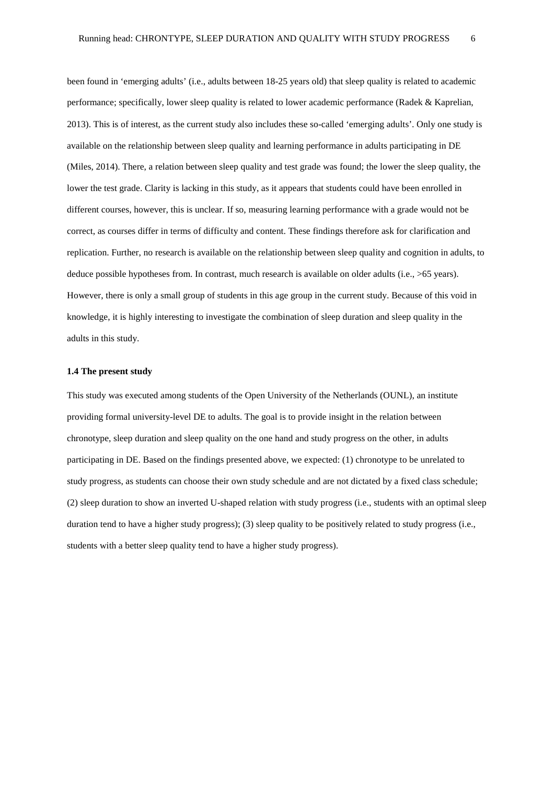been found in 'emerging adults' (i.e., adults between 18-25 years old) that sleep quality is related to academic performance; specifically, lower sleep quality is related to lower academic performance (Radek & Kaprelian, 2013). This is of interest, as the current study also includes these so-called 'emerging adults'. Only one study is available on the relationship between sleep quality and learning performance in adults participating in DE (Miles, 2014). There, a relation between sleep quality and test grade was found; the lower the sleep quality, the lower the test grade. Clarity is lacking in this study, as it appears that students could have been enrolled in different courses, however, this is unclear. If so, measuring learning performance with a grade would not be correct, as courses differ in terms of difficulty and content. These findings therefore ask for clarification and replication. Further, no research is available on the relationship between sleep quality and cognition in adults, to deduce possible hypotheses from. In contrast, much research is available on older adults (i.e., >65 years). However, there is only a small group of students in this age group in the current study. Because of this void in knowledge, it is highly interesting to investigate the combination of sleep duration and sleep quality in the adults in this study.

#### **1.4 The present study**

This study was executed among students of the Open University of the Netherlands (OUNL), an institute providing formal university-level DE to adults. The goal is to provide insight in the relation between chronotype, sleep duration and sleep quality on the one hand and study progress on the other, in adults participating in DE. Based on the findings presented above, we expected: (1) chronotype to be unrelated to study progress, as students can choose their own study schedule and are not dictated by a fixed class schedule; (2) sleep duration to show an inverted U-shaped relation with study progress (i.e., students with an optimal sleep duration tend to have a higher study progress); (3) sleep quality to be positively related to study progress (i.e., students with a better sleep quality tend to have a higher study progress).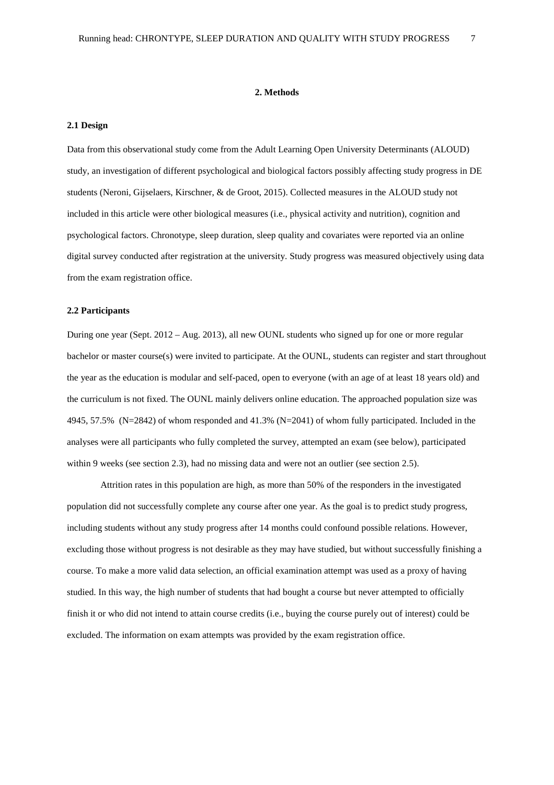#### **2. Methods**

#### **2.1 Design**

Data from this observational study come from the Adult Learning Open University Determinants (ALOUD) study, an investigation of different psychological and biological factors possibly affecting study progress in DE students (Neroni, Gijselaers, Kirschner, & de Groot, 2015). Collected measures in the ALOUD study not included in this article were other biological measures (i.e., physical activity and nutrition), cognition and psychological factors. Chronotype, sleep duration, sleep quality and covariates were reported via an online digital survey conducted after registration at the university. Study progress was measured objectively using data from the exam registration office.

#### **2.2 Participants**

During one year (Sept. 2012 – Aug. 2013), all new OUNL students who signed up for one or more regular bachelor or master course(s) were invited to participate. At the OUNL, students can register and start throughout the year as the education is modular and self-paced, open to everyone (with an age of at least 18 years old) and the curriculum is not fixed. The OUNL mainly delivers online education. The approached population size was 4945, 57.5% (N=2842) of whom responded and 41.3% (N=2041) of whom fully participated. Included in the analyses were all participants who fully completed the survey, attempted an exam (see below), participated within 9 weeks (see section 2.3), had no missing data and were not an outlier (see section 2.5).

Attrition rates in this population are high, as more than 50% of the responders in the investigated population did not successfully complete any course after one year. As the goal is to predict study progress, including students without any study progress after 14 months could confound possible relations. However, excluding those without progress is not desirable as they may have studied, but without successfully finishing a course. To make a more valid data selection, an official examination attempt was used as a proxy of having studied. In this way, the high number of students that had bought a course but never attempted to officially finish it or who did not intend to attain course credits (i.e., buying the course purely out of interest) could be excluded. The information on exam attempts was provided by the exam registration office.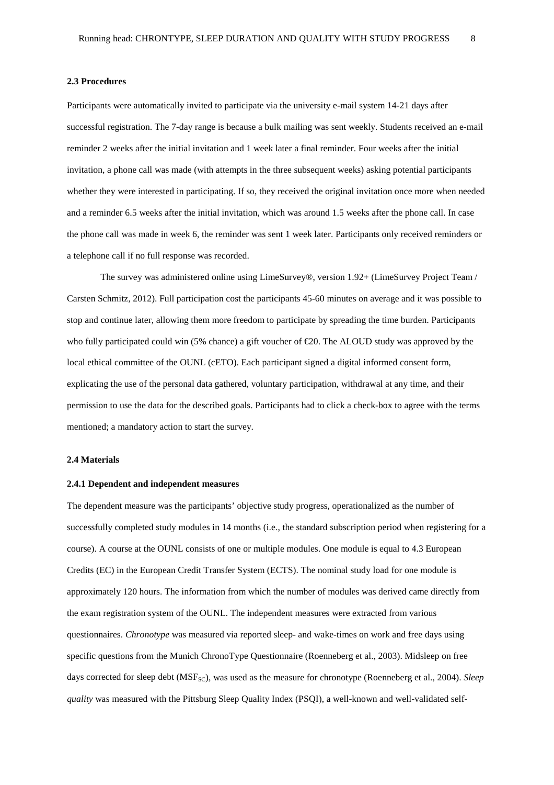#### **2.3 Procedures**

Participants were automatically invited to participate via the university e-mail system 14-21 days after successful registration. The 7-day range is because a bulk mailing was sent weekly. Students received an e-mail reminder 2 weeks after the initial invitation and 1 week later a final reminder. Four weeks after the initial invitation, a phone call was made (with attempts in the three subsequent weeks) asking potential participants whether they were interested in participating. If so, they received the original invitation once more when needed and a reminder 6.5 weeks after the initial invitation, which was around 1.5 weeks after the phone call. In case the phone call was made in week 6, the reminder was sent 1 week later. Participants only received reminders or a telephone call if no full response was recorded.

The survey was administered online using LimeSurvey®, version 1.92+ (LimeSurvey Project Team / Carsten Schmitz, 2012). Full participation cost the participants 45-60 minutes on average and it was possible to stop and continue later, allowing them more freedom to participate by spreading the time burden. Participants who fully participated could win (5% chance) a gift voucher of €20. The ALOUD study was approved by the local ethical committee of the OUNL (cETO). Each participant signed a digital informed consent form, explicating the use of the personal data gathered, voluntary participation, withdrawal at any time, and their permission to use the data for the described goals. Participants had to click a check-box to agree with the terms mentioned; a mandatory action to start the survey.

#### **2.4 Materials**

#### **2.4.1 Dependent and independent measures**

The dependent measure was the participants' objective study progress, operationalized as the number of successfully completed study modules in 14 months (i.e., the standard subscription period when registering for a course). A course at the OUNL consists of one or multiple modules. One module is equal to 4.3 European Credits (EC) in the European Credit Transfer System (ECTS). The nominal study load for one module is approximately 120 hours. The information from which the number of modules was derived came directly from the exam registration system of the OUNL. The independent measures were extracted from various questionnaires. *Chronotype* was measured via reported sleep- and wake-times on work and free days using specific questions from the Munich ChronoType Questionnaire (Roenneberg et al., 2003). Midsleep on free days corrected for sleep debt ( $MSF_{SC}$ ), was used as the measure for chronotype (Roenneberg et al., 2004). *Sleep quality* was measured with the Pittsburg Sleep Quality Index (PSQI), a well-known and well-validated self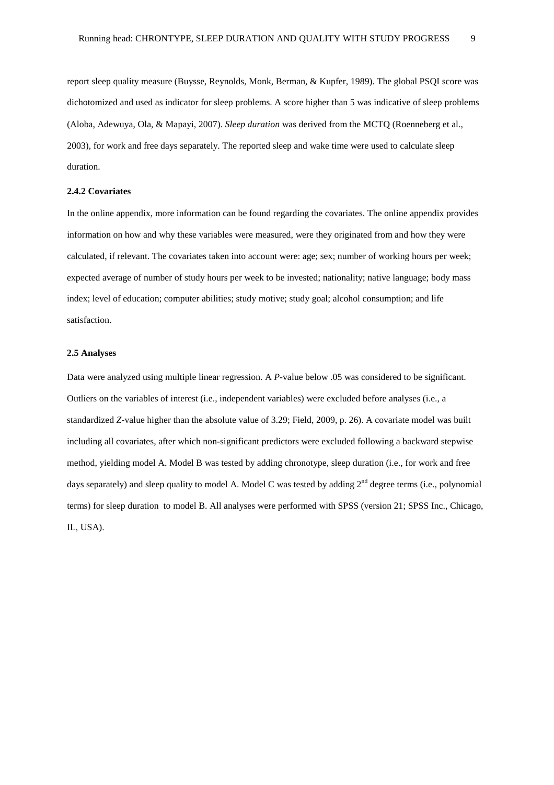report sleep quality measure (Buysse, Reynolds, Monk, Berman, & Kupfer, 1989). The global PSQI score was dichotomized and used as indicator for sleep problems. A score higher than 5 was indicative of sleep problems (Aloba, Adewuya, Ola, & Mapayi, 2007). *Sleep duration* was derived from the MCTQ (Roenneberg et al., 2003), for work and free days separately. The reported sleep and wake time were used to calculate sleep duration.

#### **2.4.2 Covariates**

In the online appendix, more information can be found regarding the covariates. The online appendix provides information on how and why these variables were measured, were they originated from and how they were calculated, if relevant. The covariates taken into account were: age; sex; number of working hours per week; expected average of number of study hours per week to be invested; nationality; native language; body mass index; level of education; computer abilities; study motive; study goal; alcohol consumption; and life satisfaction.

#### **2.5 Analyses**

Data were analyzed using multiple linear regression. A *P*-value below .05 was considered to be significant. Outliers on the variables of interest (i.e., independent variables) were excluded before analyses (i.e., a standardized *Z*-value higher than the absolute value of 3.29; Field, 2009, p. 26). A covariate model was built including all covariates, after which non-significant predictors were excluded following a backward stepwise method, yielding model A. Model B was tested by adding chronotype, sleep duration (i.e., for work and free days separately) and sleep quality to model A. Model C was tested by adding  $2<sup>nd</sup>$  degree terms (i.e., polynomial terms) for sleep duration to model B. All analyses were performed with SPSS (version 21; SPSS Inc., Chicago, IL, USA).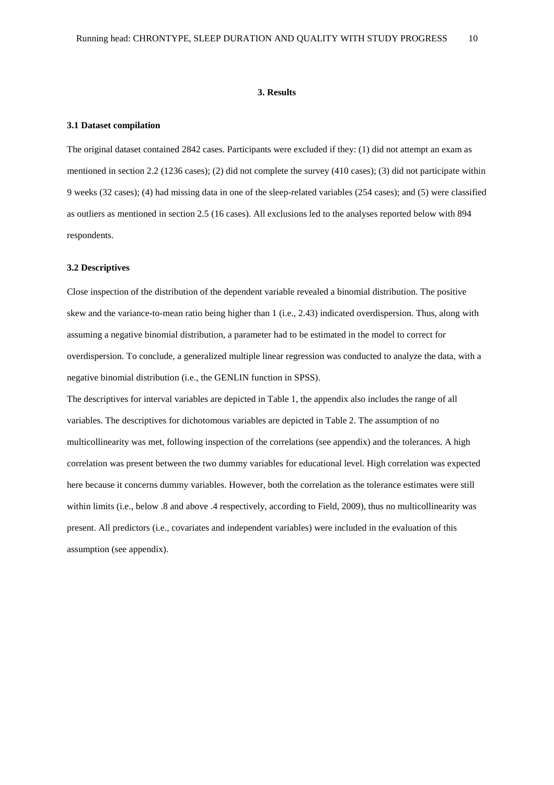#### **3. Results**

#### **3.1 Dataset compilation**

The original dataset contained 2842 cases. Participants were excluded if they: (1) did not attempt an exam as mentioned in section 2.2 (1236 cases); (2) did not complete the survey (410 cases); (3) did not participate within 9 weeks (32 cases); (4) had missing data in one of the sleep-related variables (254 cases); and (5) were classified as outliers as mentioned in section 2.5 (16 cases). All exclusions led to the analyses reported below with 894 respondents.

#### **3.2 Descriptives**

Close inspection of the distribution of the dependent variable revealed a binomial distribution. The positive skew and the variance-to-mean ratio being higher than 1 (i.e., 2.43) indicated overdispersion. Thus, along with assuming a negative binomial distribution, a parameter had to be estimated in the model to correct for overdispersion. To conclude, a generalized multiple linear regression was conducted to analyze the data, with a negative binomial distribution (i.e., the GENLIN function in SPSS).

The descriptives for interval variables are depicted in Table 1, the appendix also includes the range of all variables. The descriptives for dichotomous variables are depicted in Table 2. The assumption of no multicollinearity was met, following inspection of the correlations (see appendix) and the tolerances. A high correlation was present between the two dummy variables for educational level. High correlation was expected here because it concerns dummy variables. However, both the correlation as the tolerance estimates were still within limits (i.e., below .8 and above .4 respectively, according to Field, 2009), thus no multicollinearity was present. All predictors (i.e., covariates and independent variables) were included in the evaluation of this assumption (see appendix).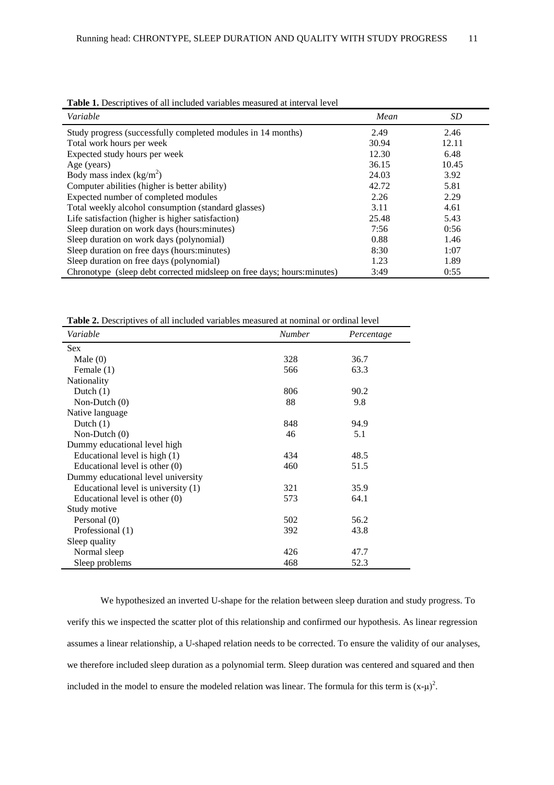| Variable                                                                | Mean  | <i>SD</i> |
|-------------------------------------------------------------------------|-------|-----------|
| Study progress (successfully completed modules in 14 months)            | 2.49  | 2.46      |
| Total work hours per week                                               | 30.94 | 12.11     |
| Expected study hours per week                                           | 12.30 | 6.48      |
| Age (years)                                                             | 36.15 | 10.45     |
| Body mass index $(kg/m2)$                                               | 24.03 | 3.92      |
| Computer abilities (higher is better ability)                           | 42.72 | 5.81      |
| Expected number of completed modules                                    | 2.26  | 2.29      |
| Total weekly alcohol consumption (standard glasses)                     | 3.11  | 4.61      |
| Life satisfaction (higher is higher satisfaction)                       | 25.48 | 5.43      |
| Sleep duration on work days (hours: minutes)                            | 7:56  | 0:56      |
| Sleep duration on work days (polynomial)                                | 0.88  | 1.46      |
| Sleep duration on free days (hours: minutes)                            | 8:30  | 1:07      |
| Sleep duration on free days (polynomial)                                | 1.23  | 1.89      |
| Chronotype (sleep debt corrected midsleep on free days; hours: minutes) | 3:49  | 0:55      |

**Table 1.** Descriptives of all included variables measured at interval level

Table 2. Descriptives of all included variables measured at nominal or ordinal level

| Variable                            | <b>Number</b> | Percentage |
|-------------------------------------|---------------|------------|
| <b>Sex</b>                          |               |            |
| Male $(0)$                          | 328           | 36.7       |
| Female (1)                          | 566           | 63.3       |
| Nationality                         |               |            |
| Dutch $(1)$                         | 806           | 90.2       |
| Non-Dutch $(0)$                     | 88            | 9.8        |
| Native language                     |               |            |
| Dutch $(1)$                         | 848           | 94.9       |
| Non-Dutch $(0)$                     | 46            | 5.1        |
| Dummy educational level high        |               |            |
| Educational level is high (1)       | 434           | 48.5       |
| Educational level is other (0)      | 460           | 51.5       |
| Dummy educational level university  |               |            |
| Educational level is university (1) | 321           | 35.9       |
| Educational level is other (0)      | 573           | 64.1       |
| Study motive                        |               |            |
| Personal (0)                        | 502           | 56.2       |
| Professional (1)                    | 392           | 43.8       |
| Sleep quality                       |               |            |
| Normal sleep                        | 426           | 47.7       |
| Sleep problems                      | 468           | 52.3       |

We hypothesized an inverted U-shape for the relation between sleep duration and study progress. To verify this we inspected the scatter plot of this relationship and confirmed our hypothesis. As linear regression assumes a linear relationship, a U-shaped relation needs to be corrected. To ensure the validity of our analyses, we therefore included sleep duration as a polynomial term. Sleep duration was centered and squared and then included in the model to ensure the modeled relation was linear. The formula for this term is  $(x-\mu)^2$ .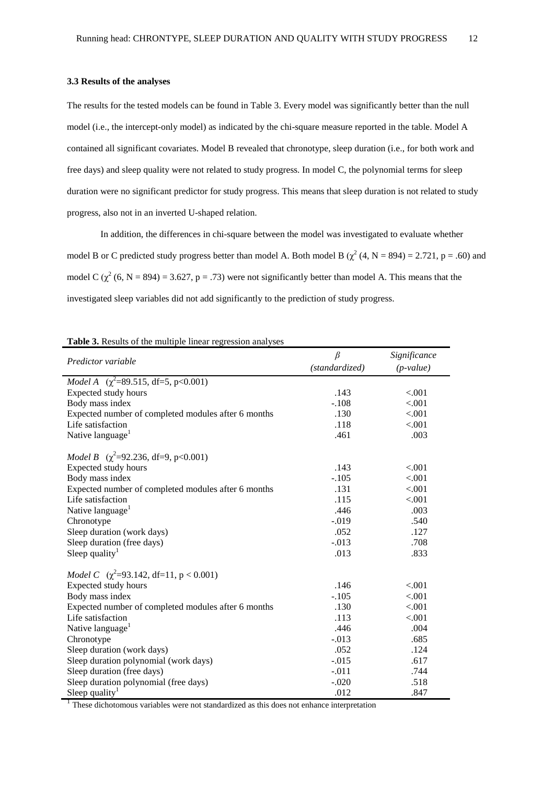#### **3.3 Results of the analyses**

The results for the tested models can be found in Table 3. Every model was significantly better than the null model (i.e., the intercept-only model) as indicated by the chi-square measure reported in the table. Model A contained all significant covariates. Model B revealed that chronotype, sleep duration (i.e., for both work and free days) and sleep quality were not related to study progress. In model C, the polynomial terms for sleep duration were no significant predictor for study progress. This means that sleep duration is not related to study progress, also not in an inverted U-shaped relation.

In addition, the differences in chi-square between the model was investigated to evaluate whether model B or C predicted study progress better than model A. Both model B  $(\chi^2 (4, N = 894) = 2.721, p = .60)$  and model C  $(\chi^2 (6, N = 894) = 3.627, p = .73)$  were not significantly better than model A. This means that the investigated sleep variables did not add significantly to the prediction of study progress.

| $\overline{\phantom{a}}$                              | $\beta$        | Significance |  |  |  |  |  |
|-------------------------------------------------------|----------------|--------------|--|--|--|--|--|
| Predictor variable                                    | (standardized) | $(p-value)$  |  |  |  |  |  |
|                                                       |                |              |  |  |  |  |  |
| <i>Model A</i> $(\chi^2 = 89.515, df = 5, p < 0.001)$ |                |              |  |  |  |  |  |
| Expected study hours                                  | .143           | < .001       |  |  |  |  |  |
| Body mass index                                       | $-.108$        | < .001       |  |  |  |  |  |
| Expected number of completed modules after 6 months   | .130           | < .001       |  |  |  |  |  |
| Life satisfaction                                     | .118           | < .001       |  |  |  |  |  |
| Native language <sup>1</sup>                          | .461           | .003         |  |  |  |  |  |
| <i>Model B</i> $(\chi^2 = 92.236, df = 9, p < 0.001)$ |                |              |  |  |  |  |  |
| <b>Expected study hours</b>                           | .143           | < .001       |  |  |  |  |  |
| Body mass index                                       | $-.105$        | < .001       |  |  |  |  |  |
| Expected number of completed modules after 6 months   | .131           | < .001       |  |  |  |  |  |
| Life satisfaction                                     | .115           | < .001       |  |  |  |  |  |
| Native language <sup>1</sup>                          | .446           | .003         |  |  |  |  |  |
| Chronotype                                            | $-0.019$       | .540         |  |  |  |  |  |
| Sleep duration (work days)                            | .052           | .127         |  |  |  |  |  |
| Sleep duration (free days)                            | $-.013$        | .708         |  |  |  |  |  |
| Sleep quality <sup>1</sup>                            | .013           | .833         |  |  |  |  |  |
| <i>Model C</i> $(\chi^2=93.142, df=11, p < 0.001)$    |                |              |  |  |  |  |  |
| Expected study hours                                  | .146           | < .001       |  |  |  |  |  |
| Body mass index                                       | $-.105$        | < .001       |  |  |  |  |  |
| Expected number of completed modules after 6 months   | .130           | < .001       |  |  |  |  |  |
| Life satisfaction                                     | .113           | < .001       |  |  |  |  |  |
| Native language <sup>1</sup>                          | .446           | .004         |  |  |  |  |  |
| Chronotype                                            | $-.013$        | .685         |  |  |  |  |  |
| Sleep duration (work days)                            | .052           | .124         |  |  |  |  |  |
| Sleep duration polynomial (work days)                 | $-.015$        | .617         |  |  |  |  |  |
| Sleep duration (free days)                            | $-.011$        | .744         |  |  |  |  |  |
| Sleep duration polynomial (free days)                 | $-.020$        | .518         |  |  |  |  |  |
| Sleep quality <sup>1</sup>                            | .012           | .847         |  |  |  |  |  |

**Table 3.** Results of the multiple linear regression analyses

<sup>1</sup> These dichotomous variables were not standardized as this does not enhance interpretation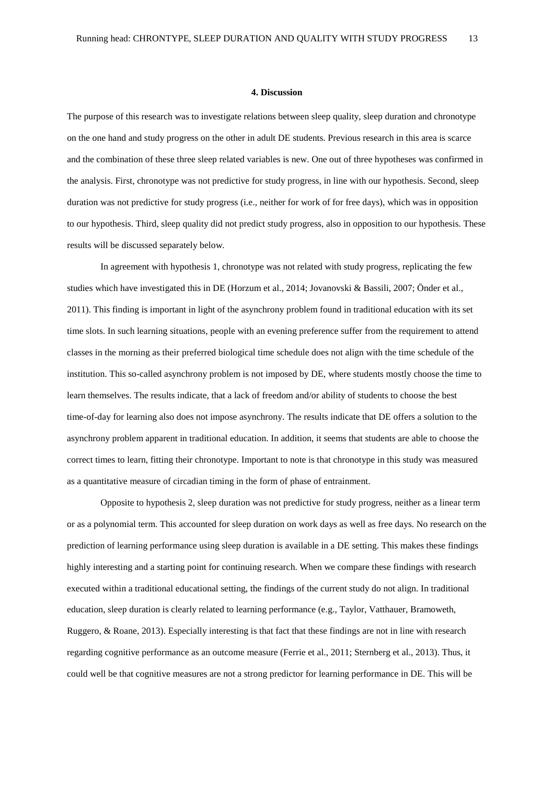#### **4. Discussion**

The purpose of this research was to investigate relations between sleep quality, sleep duration and chronotype on the one hand and study progress on the other in adult DE students. Previous research in this area is scarce and the combination of these three sleep related variables is new. One out of three hypotheses was confirmed in the analysis. First, chronotype was not predictive for study progress, in line with our hypothesis. Second, sleep duration was not predictive for study progress (i.e., neither for work of for free days), which was in opposition to our hypothesis. Third, sleep quality did not predict study progress, also in opposition to our hypothesis. These results will be discussed separately below.

In agreement with hypothesis 1, chronotype was not related with study progress, replicating the few studies which have investigated this in DE (Horzum et al., 2014; Jovanovski & Bassili, 2007; Önder et al., 2011). This finding is important in light of the asynchrony problem found in traditional education with its set time slots. In such learning situations, people with an evening preference suffer from the requirement to attend classes in the morning as their preferred biological time schedule does not align with the time schedule of the institution. This so-called asynchrony problem is not imposed by DE, where students mostly choose the time to learn themselves. The results indicate, that a lack of freedom and/or ability of students to choose the best time-of-day for learning also does not impose asynchrony. The results indicate that DE offers a solution to the asynchrony problem apparent in traditional education. In addition, it seems that students are able to choose the correct times to learn, fitting their chronotype. Important to note is that chronotype in this study was measured as a quantitative measure of circadian timing in the form of phase of entrainment.

Opposite to hypothesis 2, sleep duration was not predictive for study progress, neither as a linear term or as a polynomial term. This accounted for sleep duration on work days as well as free days. No research on the prediction of learning performance using sleep duration is available in a DE setting. This makes these findings highly interesting and a starting point for continuing research. When we compare these findings with research executed within a traditional educational setting, the findings of the current study do not align. In traditional education, sleep duration is clearly related to learning performance (e.g., Taylor, Vatthauer, Bramoweth, Ruggero, & Roane, 2013). Especially interesting is that fact that these findings are not in line with research regarding cognitive performance as an outcome measure (Ferrie et al., 2011; Sternberg et al., 2013). Thus, it could well be that cognitive measures are not a strong predictor for learning performance in DE. This will be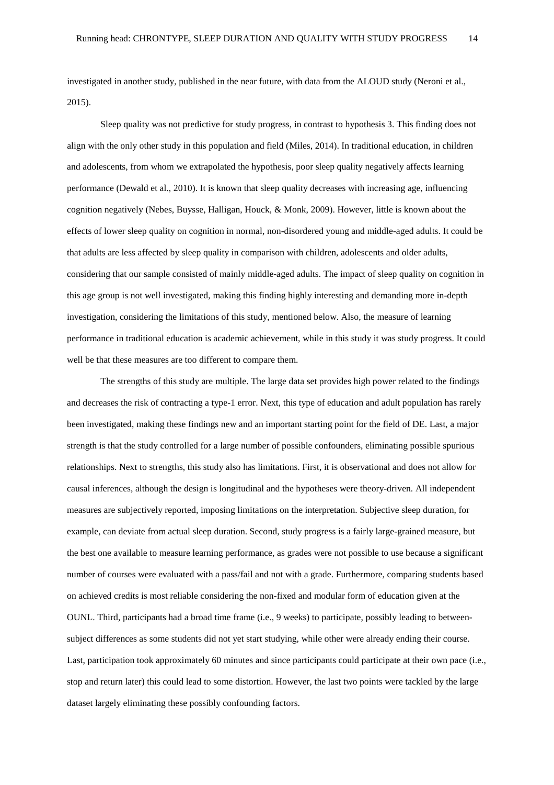investigated in another study, published in the near future, with data from the ALOUD study (Neroni et al., 2015).

Sleep quality was not predictive for study progress, in contrast to hypothesis 3. This finding does not align with the only other study in this population and field (Miles, 2014). In traditional education, in children and adolescents, from whom we extrapolated the hypothesis, poor sleep quality negatively affects learning performance (Dewald et al., 2010). It is known that sleep quality decreases with increasing age, influencing cognition negatively (Nebes, Buysse, Halligan, Houck, & Monk, 2009). However, little is known about the effects of lower sleep quality on cognition in normal, non-disordered young and middle-aged adults. It could be that adults are less affected by sleep quality in comparison with children, adolescents and older adults, considering that our sample consisted of mainly middle-aged adults. The impact of sleep quality on cognition in this age group is not well investigated, making this finding highly interesting and demanding more in-depth investigation, considering the limitations of this study, mentioned below. Also, the measure of learning performance in traditional education is academic achievement, while in this study it was study progress. It could well be that these measures are too different to compare them.

The strengths of this study are multiple. The large data set provides high power related to the findings and decreases the risk of contracting a type-1 error. Next, this type of education and adult population has rarely been investigated, making these findings new and an important starting point for the field of DE. Last, a major strength is that the study controlled for a large number of possible confounders, eliminating possible spurious relationships. Next to strengths, this study also has limitations. First, it is observational and does not allow for causal inferences, although the design is longitudinal and the hypotheses were theory-driven. All independent measures are subjectively reported, imposing limitations on the interpretation. Subjective sleep duration, for example, can deviate from actual sleep duration. Second, study progress is a fairly large-grained measure, but the best one available to measure learning performance, as grades were not possible to use because a significant number of courses were evaluated with a pass/fail and not with a grade. Furthermore, comparing students based on achieved credits is most reliable considering the non-fixed and modular form of education given at the OUNL. Third, participants had a broad time frame (i.e., 9 weeks) to participate, possibly leading to betweensubject differences as some students did not yet start studying, while other were already ending their course. Last, participation took approximately 60 minutes and since participants could participate at their own pace (i.e., stop and return later) this could lead to some distortion. However, the last two points were tackled by the large dataset largely eliminating these possibly confounding factors.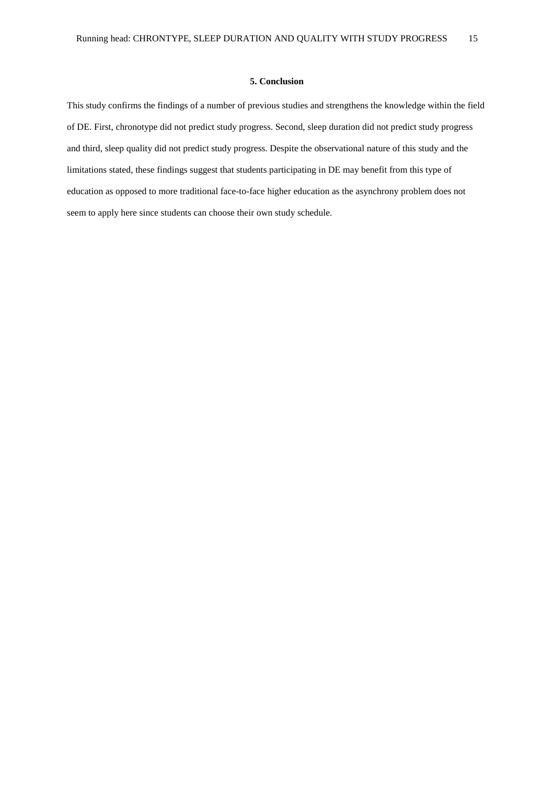#### **5. Conclusion**

This study confirms the findings of a number of previous studies and strengthens the knowledge within the field of DE. First, chronotype did not predict study progress. Second, sleep duration did not predict study progress and third, sleep quality did not predict study progress. Despite the observational nature of this study and the limitations stated, these findings suggest that students participating in DE may benefit from this type of education as opposed to more traditional face-to-face higher education as the asynchrony problem does not seem to apply here since students can choose their own study schedule.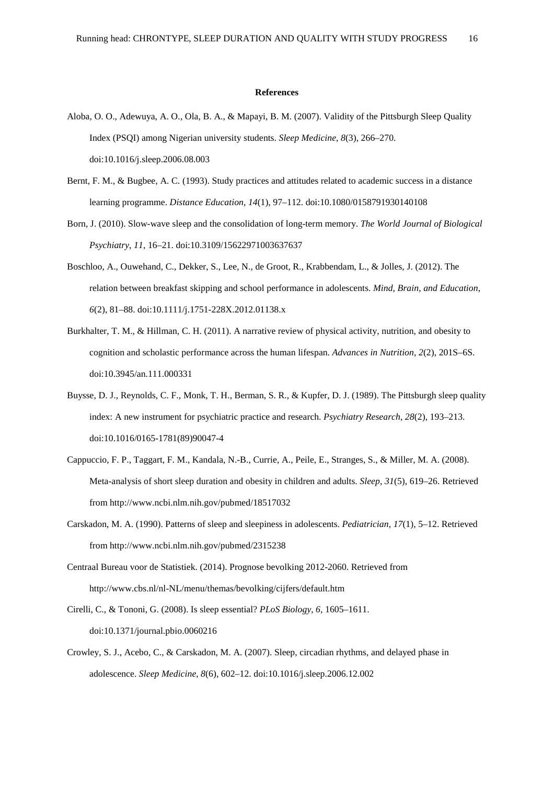#### **References**

- Aloba, O. O., Adewuya, A. O., Ola, B. A., & Mapayi, B. M. (2007). Validity of the Pittsburgh Sleep Quality Index (PSQI) among Nigerian university students. *Sleep Medicine*, *8*(3), 266–270. doi:10.1016/j.sleep.2006.08.003
- Bernt, F. M., & Bugbee, A. C. (1993). Study practices and attitudes related to academic success in a distance learning programme. *Distance Education*, *14*(1), 97–112. doi:10.1080/0158791930140108
- Born, J. (2010). Slow-wave sleep and the consolidation of long-term memory. *The World Journal of Biological Psychiatry*, *11*, 16–21. doi:10.3109/15622971003637637
- Boschloo, A., Ouwehand, C., Dekker, S., Lee, N., de Groot, R., Krabbendam, L., & Jolles, J. (2012). The relation between breakfast skipping and school performance in adolescents. *Mind, Brain, and Education*, *6*(2), 81–88. doi:10.1111/j.1751-228X.2012.01138.x
- Burkhalter, T. M., & Hillman, C. H. (2011). A narrative review of physical activity, nutrition, and obesity to cognition and scholastic performance across the human lifespan. *Advances in Nutrition*, *2*(2), 201S–6S. doi:10.3945/an.111.000331
- Buysse, D. J., Reynolds, C. F., Monk, T. H., Berman, S. R., & Kupfer, D. J. (1989). The Pittsburgh sleep quality index: A new instrument for psychiatric practice and research. *Psychiatry Research*, *28*(2), 193–213. doi:10.1016/0165-1781(89)90047-4
- Cappuccio, F. P., Taggart, F. M., Kandala, N.-B., Currie, A., Peile, E., Stranges, S., & Miller, M. A. (2008). Meta-analysis of short sleep duration and obesity in children and adults. *Sleep*, *31*(5), 619–26. Retrieved from http://www.ncbi.nlm.nih.gov/pubmed/18517032
- Carskadon, M. A. (1990). Patterns of sleep and sleepiness in adolescents. *Pediatrician*, *17*(1), 5–12. Retrieved from http://www.ncbi.nlm.nih.gov/pubmed/2315238
- Centraal Bureau voor de Statistiek. (2014). Prognose bevolking 2012-2060. Retrieved from http://www.cbs.nl/nl-NL/menu/themas/bevolking/cijfers/default.htm
- Cirelli, C., & Tononi, G. (2008). Is sleep essential? *PLoS Biology*, *6*, 1605–1611. doi:10.1371/journal.pbio.0060216
- Crowley, S. J., Acebo, C., & Carskadon, M. A. (2007). Sleep, circadian rhythms, and delayed phase in adolescence. *Sleep Medicine*, *8*(6), 602–12. doi:10.1016/j.sleep.2006.12.002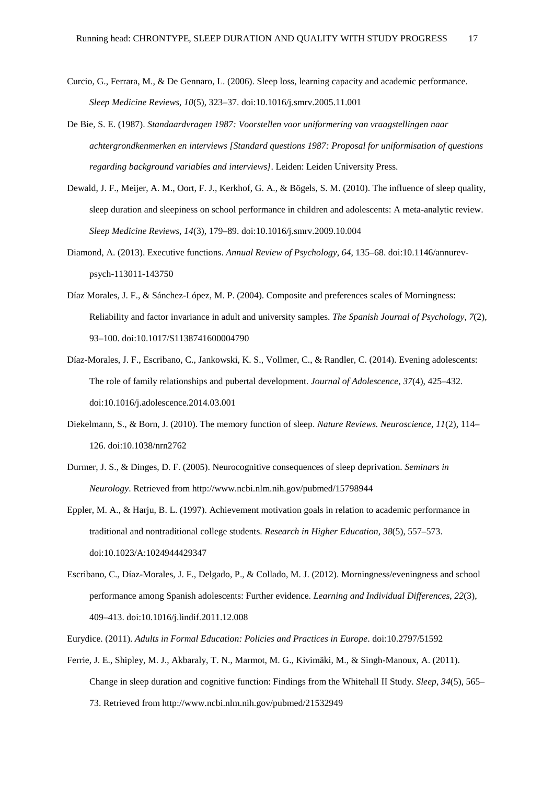- Curcio, G., Ferrara, M., & De Gennaro, L. (2006). Sleep loss, learning capacity and academic performance. *Sleep Medicine Reviews*, *10*(5), 323–37. doi:10.1016/j.smrv.2005.11.001
- De Bie, S. E. (1987). *Standaardvragen 1987: Voorstellen voor uniformering van vraagstellingen naar achtergrondkenmerken en interviews [Standard questions 1987: Proposal for uniformisation of questions regarding background variables and interviews]*. Leiden: Leiden University Press.
- Dewald, J. F., Meijer, A. M., Oort, F. J., Kerkhof, G. A., & Bögels, S. M. (2010). The influence of sleep quality, sleep duration and sleepiness on school performance in children and adolescents: A meta-analytic review. *Sleep Medicine Reviews*, *14*(3), 179–89. doi:10.1016/j.smrv.2009.10.004
- Diamond, A. (2013). Executive functions. *Annual Review of Psychology*, *64*, 135–68. doi:10.1146/annurevpsych-113011-143750
- Díaz Morales, J. F., & Sánchez-López, M. P. (2004). Composite and preferences scales of Morningness: Reliability and factor invariance in adult and university samples. *The Spanish Journal of Psychology*, *7*(2), 93–100. doi:10.1017/S1138741600004790
- Díaz-Morales, J. F., Escribano, C., Jankowski, K. S., Vollmer, C., & Randler, C. (2014). Evening adolescents: The role of family relationships and pubertal development. *Journal of Adolescence*, *37*(4), 425–432. doi:10.1016/j.adolescence.2014.03.001
- Diekelmann, S., & Born, J. (2010). The memory function of sleep. *Nature Reviews. Neuroscience*, *11*(2), 114– 126. doi:10.1038/nrn2762
- Durmer, J. S., & Dinges, D. F. (2005). Neurocognitive consequences of sleep deprivation. *Seminars in Neurology*. Retrieved from http://www.ncbi.nlm.nih.gov/pubmed/15798944
- Eppler, M. A., & Harju, B. L. (1997). Achievement motivation goals in relation to academic performance in traditional and nontraditional college students. *Research in Higher Education*, *38*(5), 557–573. doi:10.1023/A:1024944429347
- Escribano, C., Díaz-Morales, J. F., Delgado, P., & Collado, M. J. (2012). Morningness/eveningness and school performance among Spanish adolescents: Further evidence. *Learning and Individual Differences*, *22*(3), 409–413. doi:10.1016/j.lindif.2011.12.008

Eurydice. (2011). *Adults in Formal Education: Policies and Practices in Europe*. doi:10.2797/51592

Ferrie, J. E., Shipley, M. J., Akbaraly, T. N., Marmot, M. G., Kivimäki, M., & Singh-Manoux, A. (2011). Change in sleep duration and cognitive function: Findings from the Whitehall II Study. *Sleep*, *34*(5), 565– 73. Retrieved from http://www.ncbi.nlm.nih.gov/pubmed/21532949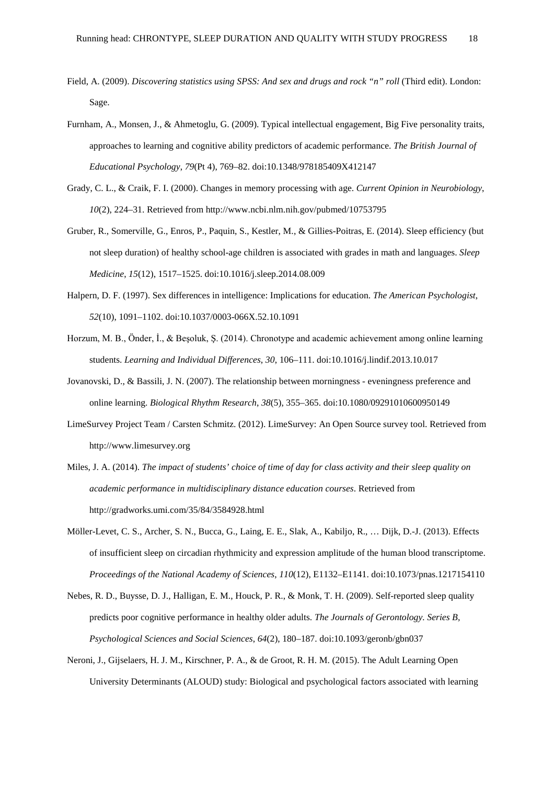- Field, A. (2009). *Discovering statistics using SPSS: And sex and drugs and rock "n" roll* (Third edit). London: Sage.
- Furnham, A., Monsen, J., & Ahmetoglu, G. (2009). Typical intellectual engagement, Big Five personality traits, approaches to learning and cognitive ability predictors of academic performance. *The British Journal of Educational Psychology*, *79*(Pt 4), 769–82. doi:10.1348/978185409X412147
- Grady, C. L., & Craik, F. I. (2000). Changes in memory processing with age. *Current Opinion in Neurobiology*, *10*(2), 224–31. Retrieved from http://www.ncbi.nlm.nih.gov/pubmed/10753795
- Gruber, R., Somerville, G., Enros, P., Paquin, S., Kestler, M., & Gillies-Poitras, E. (2014). Sleep efficiency (but not sleep duration) of healthy school-age children is associated with grades in math and languages. *Sleep Medicine*, *15*(12), 1517–1525. doi:10.1016/j.sleep.2014.08.009
- Halpern, D. F. (1997). Sex differences in intelligence: Implications for education. *The American Psychologist*, *52*(10), 1091–1102. doi:10.1037/0003-066X.52.10.1091
- Horzum, M. B., Önder, İ., & Beşoluk, Ş. (2014). Chronotype and academic achievement among online learning students. *Learning and Individual Differences*, *30*, 106–111. doi:10.1016/j.lindif.2013.10.017
- Jovanovski, D., & Bassili, J. N. (2007). The relationship between morningness eveningness preference and online learning. *Biological Rhythm Research*, *38*(5), 355–365. doi:10.1080/09291010600950149
- LimeSurvey Project Team / Carsten Schmitz. (2012). LimeSurvey: An Open Source survey tool. Retrieved from http://www.limesurvey.org
- Miles, J. A. (2014). *The impact of students' choice of time of day for class activity and their sleep quality on academic performance in multidisciplinary distance education courses*. Retrieved from http://gradworks.umi.com/35/84/3584928.html
- Möller-Levet, C. S., Archer, S. N., Bucca, G., Laing, E. E., Slak, A., Kabiljo, R., … Dijk, D.-J. (2013). Effects of insufficient sleep on circadian rhythmicity and expression amplitude of the human blood transcriptome. *Proceedings of the National Academy of Sciences*, *110*(12), E1132–E1141. doi:10.1073/pnas.1217154110
- Nebes, R. D., Buysse, D. J., Halligan, E. M., Houck, P. R., & Monk, T. H. (2009). Self-reported sleep quality predicts poor cognitive performance in healthy older adults. *The Journals of Gerontology. Series B, Psychological Sciences and Social Sciences*, *64*(2), 180–187. doi:10.1093/geronb/gbn037
- Neroni, J., Gijselaers, H. J. M., Kirschner, P. A., & de Groot, R. H. M. (2015). The Adult Learning Open University Determinants (ALOUD) study: Biological and psychological factors associated with learning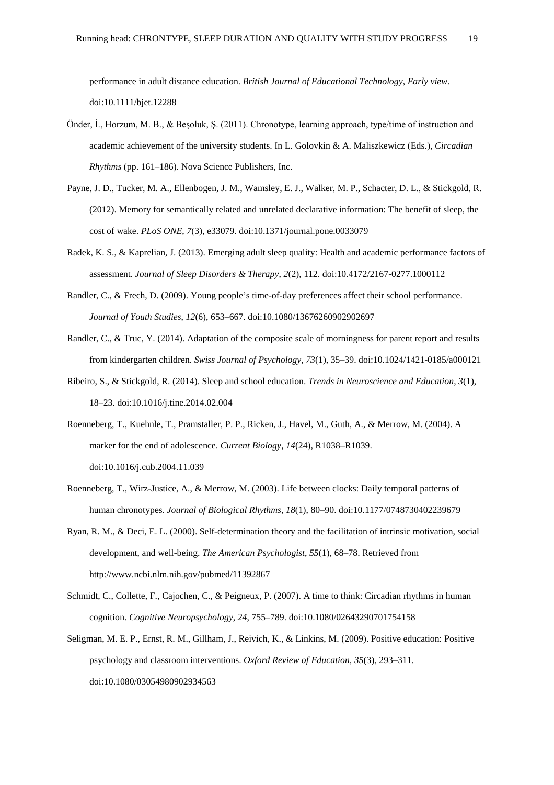performance in adult distance education. *British Journal of Educational Technology*, *Early view*. doi:10.1111/bjet.12288

- Önder, İ., Horzum, M. B., & Beşoluk, Ş. (2011). Chronotype, learning approach, type/time of instruction and academic achievement of the university students. In L. Golovkin & A. Maliszkewicz (Eds.), *Circadian Rhythms* (pp. 161–186). Nova Science Publishers, Inc.
- Payne, J. D., Tucker, M. A., Ellenbogen, J. M., Wamsley, E. J., Walker, M. P., Schacter, D. L., & Stickgold, R. (2012). Memory for semantically related and unrelated declarative information: The benefit of sleep, the cost of wake. *PLoS ONE*, *7*(3), e33079. doi:10.1371/journal.pone.0033079
- Radek, K. S., & Kaprelian, J. (2013). Emerging adult sleep quality: Health and academic performance factors of assessment. *Journal of Sleep Disorders & Therapy*, *2*(2), 112. doi:10.4172/2167-0277.1000112
- Randler, C., & Frech, D. (2009). Young people's time-of-day preferences affect their school performance. *Journal of Youth Studies*, *12*(6), 653–667. doi:10.1080/13676260902902697
- Randler, C., & Truc, Y. (2014). Adaptation of the composite scale of morningness for parent report and results from kindergarten children. *Swiss Journal of Psychology*, *73*(1), 35–39. doi:10.1024/1421-0185/a000121
- Ribeiro, S., & Stickgold, R. (2014). Sleep and school education. *Trends in Neuroscience and Education*, *3*(1), 18–23. doi:10.1016/j.tine.2014.02.004
- Roenneberg, T., Kuehnle, T., Pramstaller, P. P., Ricken, J., Havel, M., Guth, A., & Merrow, M. (2004). A marker for the end of adolescence. *Current Biology*, *14*(24), R1038–R1039. doi:10.1016/j.cub.2004.11.039
- Roenneberg, T., Wirz-Justice, A., & Merrow, M. (2003). Life between clocks: Daily temporal patterns of human chronotypes. *Journal of Biological Rhythms*, *18*(1), 80–90. doi:10.1177/0748730402239679
- Ryan, R. M., & Deci, E. L. (2000). Self-determination theory and the facilitation of intrinsic motivation, social development, and well-being. *The American Psychologist*, *55*(1), 68–78. Retrieved from http://www.ncbi.nlm.nih.gov/pubmed/11392867
- Schmidt, C., Collette, F., Cajochen, C., & Peigneux, P. (2007). A time to think: Circadian rhythms in human cognition. *Cognitive Neuropsychology*, *24*, 755–789. doi:10.1080/02643290701754158
- Seligman, M. E. P., Ernst, R. M., Gillham, J., Reivich, K., & Linkins, M. (2009). Positive education: Positive psychology and classroom interventions. *Oxford Review of Education*, *35*(3), 293–311. doi:10.1080/03054980902934563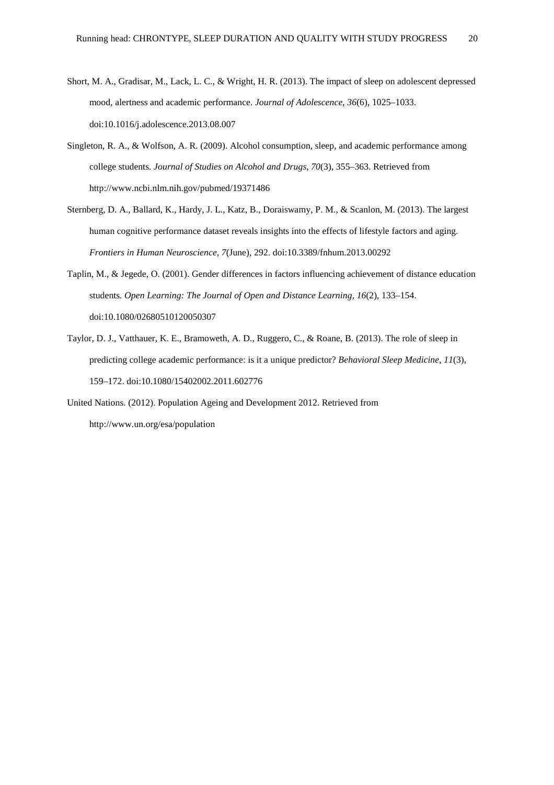- Short, M. A., Gradisar, M., Lack, L. C., & Wright, H. R. (2013). The impact of sleep on adolescent depressed mood, alertness and academic performance. *Journal of Adolescence*, *36*(6), 1025–1033. doi:10.1016/j.adolescence.2013.08.007
- Singleton, R. A., & Wolfson, A. R. (2009). Alcohol consumption, sleep, and academic performance among college students. *Journal of Studies on Alcohol and Drugs*, *70*(3), 355–363. Retrieved from http://www.ncbi.nlm.nih.gov/pubmed/19371486
- Sternberg, D. A., Ballard, K., Hardy, J. L., Katz, B., Doraiswamy, P. M., & Scanlon, M. (2013). The largest human cognitive performance dataset reveals insights into the effects of lifestyle factors and aging. *Frontiers in Human Neuroscience*, *7*(June), 292. doi:10.3389/fnhum.2013.00292
- Taplin, M., & Jegede, O. (2001). Gender differences in factors influencing achievement of distance education students. *Open Learning: The Journal of Open and Distance Learning*, *16*(2), 133–154. doi:10.1080/02680510120050307
- Taylor, D. J., Vatthauer, K. E., Bramoweth, A. D., Ruggero, C., & Roane, B. (2013). The role of sleep in predicting college academic performance: is it a unique predictor? *Behavioral Sleep Medicine*, *11*(3), 159–172. doi:10.1080/15402002.2011.602776
- United Nations. (2012). Population Ageing and Development 2012. Retrieved from http://www.un.org/esa/population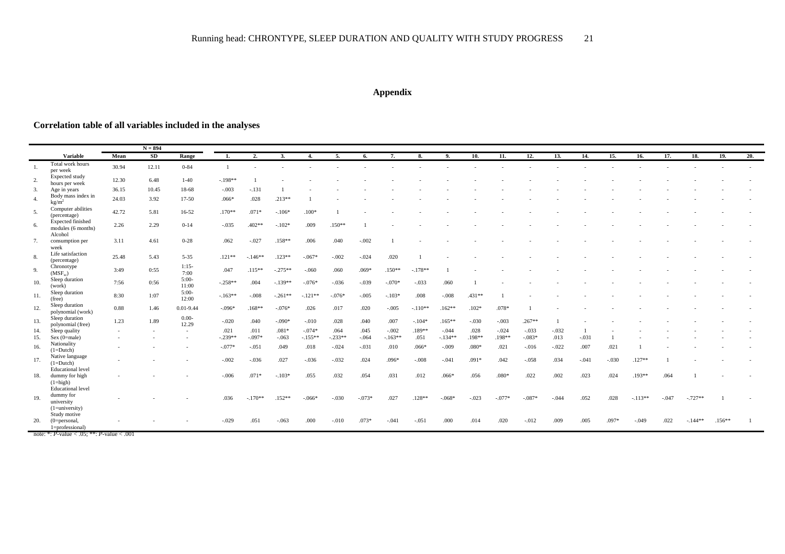## **Appendix**

## **Correlation table of all variables included in the analyses**

| $N = 894$ |                                                                                                         |       |       |                          |                |           |           |           |           |          |           |           |           |          |          |          |         |         |         |           |         |           |          |     |
|-----------|---------------------------------------------------------------------------------------------------------|-------|-------|--------------------------|----------------|-----------|-----------|-----------|-----------|----------|-----------|-----------|-----------|----------|----------|----------|---------|---------|---------|-----------|---------|-----------|----------|-----|
|           | <b>Variable</b>                                                                                         | Mean  | SD    | Range                    | 1.             | 2.        | 3.        | 4.        | 5.        | 6.       | 7.        | 8.        | 9.        | 10.      | 11.      | 12.      | 13.     | 14.     | 15.     | 16.       | 17.     | 18.       | 19.      | 20. |
| -1.       | Total work hours<br>per week                                                                            | 30.94 | 12.11 | $0 - 84$                 | $\overline{1}$ |           |           |           |           |          |           |           |           |          |          |          |         |         |         |           |         |           |          |     |
|           | Expected study<br>hours per week                                                                        | 12.30 | 6.48  | $1-40$                   | $-.198**$      |           |           |           |           |          |           |           |           |          |          |          |         |         |         |           |         |           |          |     |
| 3.        | Age in years                                                                                            | 36.15 | 10.45 | 18-68                    | $-.003$        | $-.131$   |           |           |           |          |           |           |           |          |          |          |         |         |         |           |         |           |          |     |
| -4.       | Body mass index in<br>kg/m <sup>2</sup>                                                                 | 24.03 | 3.92  | $17-50$                  | $.066*$        | .028      | $.213**$  |           |           |          |           |           |           |          |          |          |         |         |         |           |         |           |          |     |
| 5.        | Computer abilities<br>(percentage)                                                                      | 42.72 | 5.81  | $16 - 52$                | $.170**$       | $.071*$   | $-.106*$  | $.100*$   |           |          |           |           |           |          |          |          |         |         |         |           |         |           |          |     |
| 6.        | Expected finished<br>modules (6 months)                                                                 | 2.26  | 2.29  | $0 - 14$                 | $-.035$        | $.402**$  | $-.102*$  | .009      | $.150**$  |          |           |           |           |          |          |          |         |         |         |           |         |           |          |     |
| 7.        | Alcohol<br>consumption per<br>week                                                                      | 3.11  | 4.61  | $0 - 28$                 | .062           | $-.027$   | $.158**$  | .006      | .040      | $-.002$  |           |           |           |          |          |          |         |         |         |           |         |           |          |     |
| 8.        | Life satisfaction<br>(percentage)                                                                       | 25.48 | 5.43  | $5 - 35$                 | $.121**$       | $-.146**$ | $.123**$  | $-.067*$  | $-.002$   | $-.024$  | .020      |           |           |          |          |          |         |         |         |           |         |           |          |     |
| 9.        | Chronotype<br>(MSF <sub>sc</sub> )                                                                      | 3:49  | 0:55  | $1:15-$<br>7:00          | .047           | $.115**$  | $-.275**$ | $-.060$   | .060      | $.069*$  | $.150**$  | $-.178**$ |           |          |          |          |         |         |         |           |         |           |          |     |
| 10.       | Sleep duration<br>(work)                                                                                | 7:56  | 0:56  | $5:00-$<br>11:00         | $-.258**$      | .004      | $-.139**$ | $-.076*$  | $-.036$   | $-.039$  | $-.070*$  | $-.033$   | .060      |          |          |          |         |         |         |           |         |           |          |     |
| 11.       | Sleep duration<br>(free)                                                                                | 8:30  | 1:07  | $5:00-$<br>12:00         | $-.163**$      | $-.008$   | $-.261**$ | $-.121**$ | $-.076*$  | $-.005$  | $-.103*$  | .008      | $-.008$   | $.431**$ |          |          |         |         |         |           |         |           |          |     |
| 12.       | Sleep duration<br>polynomial (work)                                                                     | 0.88  | 1.46  | $0.01 - 9.44$            | $-.096*$       | $.168**$  | $-.076*$  | .026      | .017      | .020     | $-.005$   | $-.110**$ | $.162**$  | $.102*$  | $.078*$  |          |         |         |         |           |         |           |          |     |
| 13.       | Sleep duration<br>polynomial (free)                                                                     | 1.23  | 1.89  | $0.00 -$<br>12.29        | $-.020$        | .040      | $-.090*$  | $-.010$   | .028      | .040     | .007      | $-.104*$  | $.165**$  | $-.030$  | $-.003$  | $.267**$ |         |         |         |           |         |           |          |     |
| 14.       | Sleep quality                                                                                           |       |       | $\sim$                   | .021           | .011      | $.081*$   | $-.074*$  | .064      | .045     | $-.002$   | $.189**$  | $-.044$   | .028     | $-.024$  | $-.033$  | $-.032$ |         |         |           |         |           |          |     |
| 15.       | $Sex (0 = male)$                                                                                        |       |       | $\overline{\phantom{a}}$ | $-.239**$      | $-.097*$  | $-.063$   | $-.155**$ | $-.233**$ | $-.064$  | $-.163**$ | .051      | $-.134**$ | .198**   | .198**   | $-.083*$ | .013    | $-.031$ |         |           |         |           |          |     |
| 16.       | Nationality<br>$(1=Dutch)$                                                                              |       |       |                          | $-.077*$       | $-.051$   | .049      | .018      | $-.024$   | $-.031$  | .010      | $.066*$   | $-.009$   | $.080*$  | .021     | $-.016$  | $-.022$ | .007    | .021    |           |         |           |          |     |
| 17.       | Native language<br>$(1=Dutch)$<br><b>Educational</b> level                                              |       |       |                          | $-.002$        | $-.036$   | .027      | $-.036$   | $-.032$   | .024     | $.096*$   | $-.008$   | $-.041$   | $.091*$  | .042     | $-.058$  | .034    | $-.041$ | $-.030$ | $.127**$  |         |           |          |     |
| 18.       | dummy for high<br>$(1 = high)$                                                                          |       |       |                          | $-.006$        | $.071*$   | $-.103*$  | .055      | .032      | .054     | .031      | .012      | $.066*$   | .056     | $.080*$  | .022     | .002    | .023    | .024    | $.193**$  | .064    |           |          |     |
| 19.       | Educational level<br>dummy for<br>university<br>$(1 = university)$                                      |       |       |                          | .036           | $-.170**$ | $.152**$  | $-.066*$  | $-.030$   | $-.073*$ | .027      | $.128**$  | $-.068*$  | $-.023$  | $-.077*$ | $-.087*$ | $-.044$ | .052    | .028    | $-.113**$ | $-.047$ | $-.727**$ |          |     |
| 20.       | Study motive<br>$(0 = personal,$<br>l=professional)<br>note: *: $P$ -value < .05; **: $P$ -value < .001 |       |       |                          | $-.029$        | .051      | $-.063$   | .000      | $-.010$   | $.073*$  | $-.041$   | $-.051$   | .000      | .014     | .020     | $-.012$  | .009    | .005    | $.097*$ | $-.049$   | .022    | $-.144**$ | $.156**$ |     |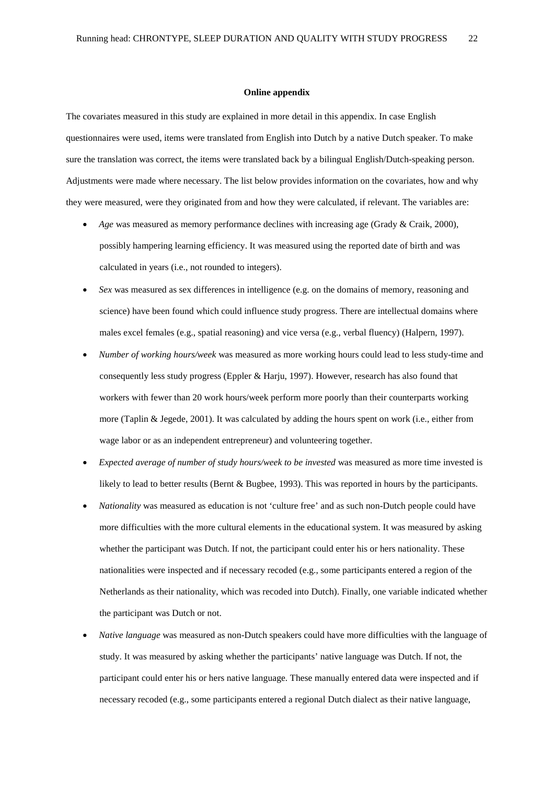#### **Online appendix**

The covariates measured in this study are explained in more detail in this appendix. In case English questionnaires were used, items were translated from English into Dutch by a native Dutch speaker. To make sure the translation was correct, the items were translated back by a bilingual English/Dutch-speaking person. Adjustments were made where necessary. The list below provides information on the covariates, how and why they were measured, were they originated from and how they were calculated, if relevant. The variables are:

- *Age* was measured as memory performance declines with increasing age (Grady & Craik, 2000), possibly hampering learning efficiency. It was measured using the reported date of birth and was calculated in years (i.e., not rounded to integers).
- *Sex* was measured as sex differences in intelligence (e.g. on the domains of memory, reasoning and science) have been found which could influence study progress. There are intellectual domains where males excel females (e.g., spatial reasoning) and vice versa (e.g., verbal fluency) (Halpern, 1997).
- *Number of working hours/week* was measured as more working hours could lead to less study-time and consequently less study progress (Eppler & Harju, 1997). However, research has also found that workers with fewer than 20 work hours/week perform more poorly than their counterparts working more (Taplin & Jegede, 2001). It was calculated by adding the hours spent on work (i.e., either from wage labor or as an independent entrepreneur) and volunteering together.
- *Expected average of number of study hours/week to be invested* was measured as more time invested is likely to lead to better results (Bernt & Bugbee, 1993). This was reported in hours by the participants.
- *Nationality* was measured as education is not 'culture free' and as such non-Dutch people could have more difficulties with the more cultural elements in the educational system. It was measured by asking whether the participant was Dutch. If not, the participant could enter his or hers nationality. These nationalities were inspected and if necessary recoded (e.g., some participants entered a region of the Netherlands as their nationality, which was recoded into Dutch). Finally, one variable indicated whether the participant was Dutch or not.
- *Native language* was measured as non-Dutch speakers could have more difficulties with the language of study. It was measured by asking whether the participants' native language was Dutch. If not, the participant could enter his or hers native language. These manually entered data were inspected and if necessary recoded (e.g., some participants entered a regional Dutch dialect as their native language,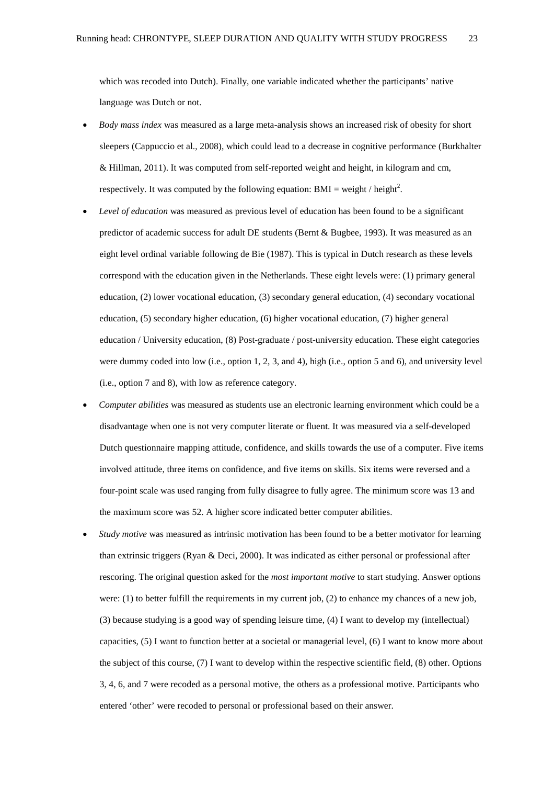which was recoded into Dutch). Finally, one variable indicated whether the participants' native language was Dutch or not.

- *Body mass index* was measured as a large meta-analysis shows an increased risk of obesity for short sleepers (Cappuccio et al., 2008), which could lead to a decrease in cognitive performance (Burkhalter & Hillman, 2011). It was computed from self-reported weight and height, in kilogram and cm, respectively. It was computed by the following equation:  $BMI = weight / height^2$ .
- *Level of education* was measured as previous level of education has been found to be a significant predictor of academic success for adult DE students (Bernt & Bugbee, 1993). It was measured as an eight level ordinal variable following de Bie (1987). This is typical in Dutch research as these levels correspond with the education given in the Netherlands. These eight levels were: (1) primary general education, (2) lower vocational education, (3) secondary general education, (4) secondary vocational education, (5) secondary higher education, (6) higher vocational education, (7) higher general education / University education, (8) Post-graduate / post-university education. These eight categories were dummy coded into low (i.e., option 1, 2, 3, and 4), high (i.e., option 5 and 6), and university level (i.e., option 7 and 8), with low as reference category.
- *Computer abilities* was measured as students use an electronic learning environment which could be a disadvantage when one is not very computer literate or fluent. It was measured via a self-developed Dutch questionnaire mapping attitude, confidence, and skills towards the use of a computer. Five items involved attitude, three items on confidence, and five items on skills. Six items were reversed and a four-point scale was used ranging from fully disagree to fully agree. The minimum score was 13 and the maximum score was 52. A higher score indicated better computer abilities.
- *Study motive* was measured as intrinsic motivation has been found to be a better motivator for learning than extrinsic triggers (Ryan & Deci, 2000). It was indicated as either personal or professional after rescoring. The original question asked for the *most important motive* to start studying. Answer options were: (1) to better fulfill the requirements in my current job, (2) to enhance my chances of a new job, (3) because studying is a good way of spending leisure time, (4) I want to develop my (intellectual) capacities, (5) I want to function better at a societal or managerial level, (6) I want to know more about the subject of this course, (7) I want to develop within the respective scientific field, (8) other. Options 3, 4, 6, and 7 were recoded as a personal motive, the others as a professional motive. Participants who entered 'other' were recoded to personal or professional based on their answer.